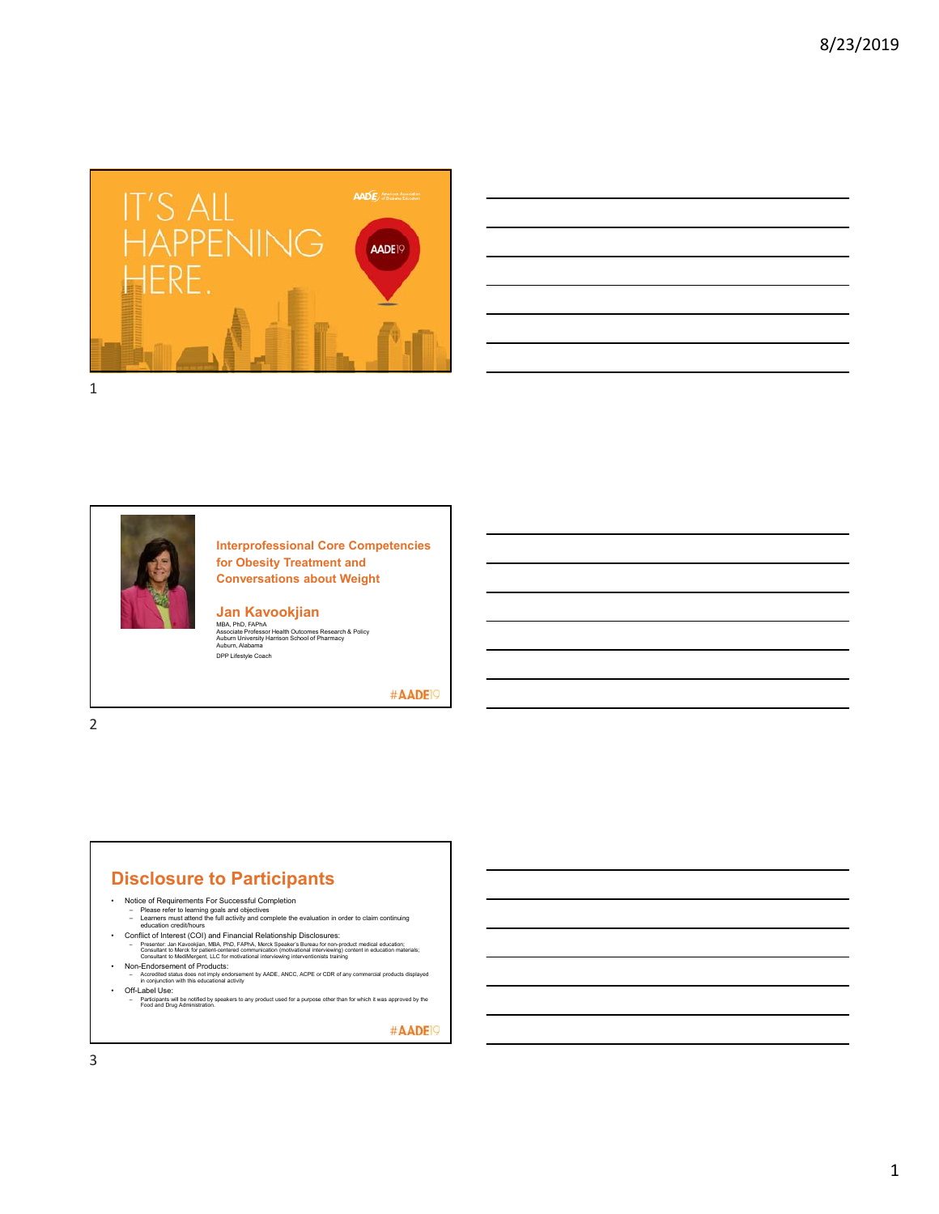

| $\overline{\phantom{a}}$                                    |                                   |
|-------------------------------------------------------------|-----------------------------------|
|                                                             |                                   |
|                                                             | <b>Contract Contract Contract</b> |
|                                                             |                                   |
|                                                             |                                   |
|                                                             |                                   |
| <u> 1989 - Johann Stoff, amerikansk politiker (d. 1989)</u> |                                   |
|                                                             |                                   |



**Interprofessional Core Competencies for Obesity Treatment and Conversations about Weight**

**Jan Kavookjian**<br>MBA, PhD, FAPhA<br>Associate Professor Health Outcomes Research & Policy<br>Auburn University Harrison School of Pharmacy<br>Auburn, Alabama DPP Lifestyle Coach

#AADE<sup>19</sup>

2

### **Disclosure to Participants**

- -
- Notice of Requirements For Successful Completion<br>– Please refer to learning goals and objectives<br>– Learners must attend the full activity and complete the evaluation in order to claim continuing<br>– education credit/hours
- Conflict of Interest (COI) and Financial Relationship Disclosures:<br>Frasenter: Jan Kavockjan, MBA, PhD, FAPhA, Merck Speaker's Buneu for non-product medical education:<br>Consultant to MediMergent, LLC for motivational inte
	-
- 
- Non-Endorsement of Products: Accredited status does not imply endorsement by AADE, ANCC, ACPE or CDR of any commercial products displayed in conjunction with this educational activity
- Off-Label Use: Participants will be notified by speakers to any product used for a purpose other than for which it was approved by the Food and Drug Administration.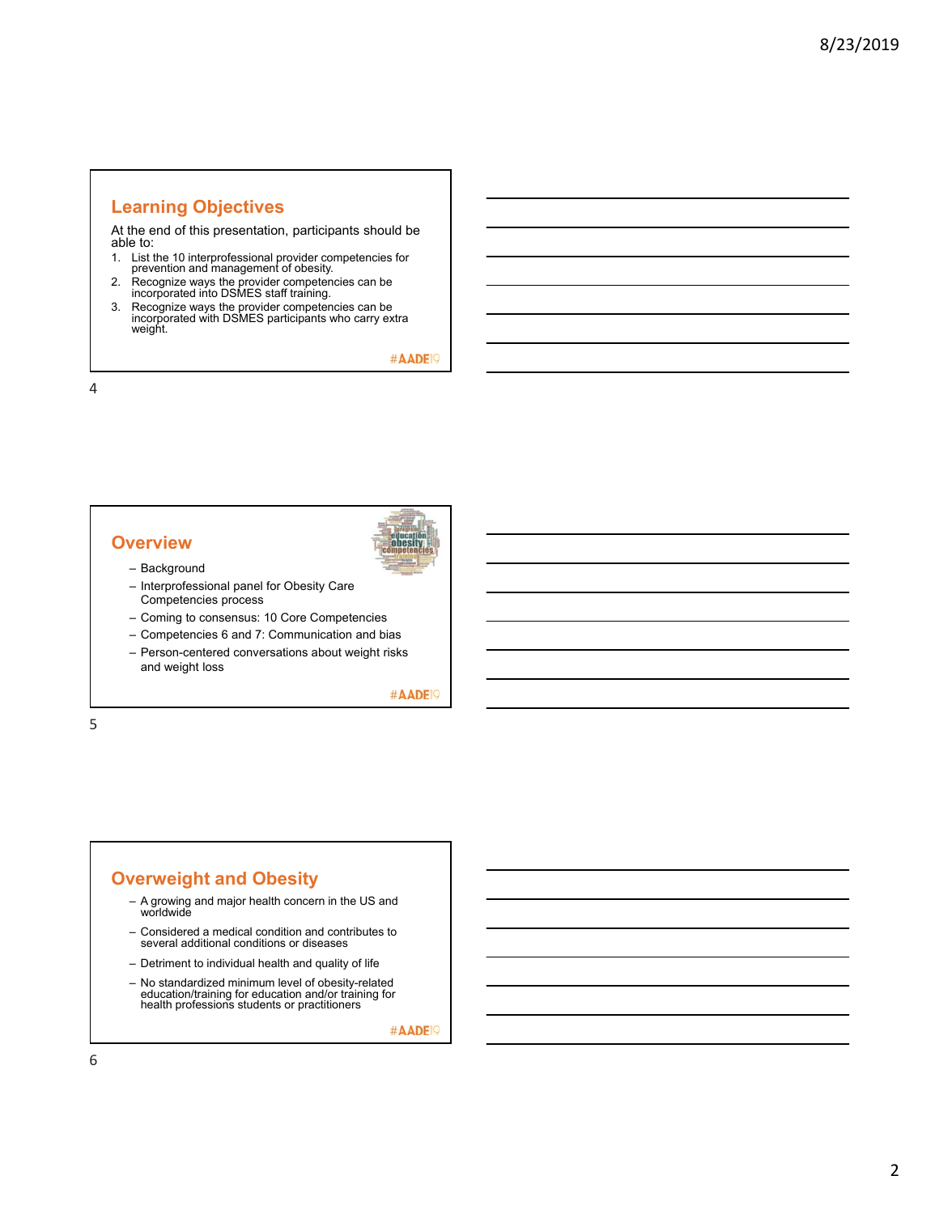### **Learning Objectives**

At the end of this presentation, participants should be able to:

- 1. List the 10 interprofessional provider competencies for prevention and management of obesity.
- 2. Recognize ways the provider competencies can be incorporated into DSMES staff training.
- 3. Recognize ways the provider competencies can be incorporated with DSMES participants who carry extra weight.

#AADE<sup>19</sup>

4

### **Overview**



- Background
- Interprofessional panel for Obesity Care Competencies process
- Coming to consensus: 10 Core Competencies
- Competencies 6 and 7: Communication and bias
- Person-centered conversations about weight risks and weight loss

#AADE<sup>19</sup>

5

### **Overweight and Obesity**

- A growing and major health concern in the US and worldwide
- Considered a medical condition and contributes to several additional conditions or diseases
- Detriment to individual health and quality of life
- No standardized minimum level of obesity-related education/training for education and/or training for health professions students or practitioners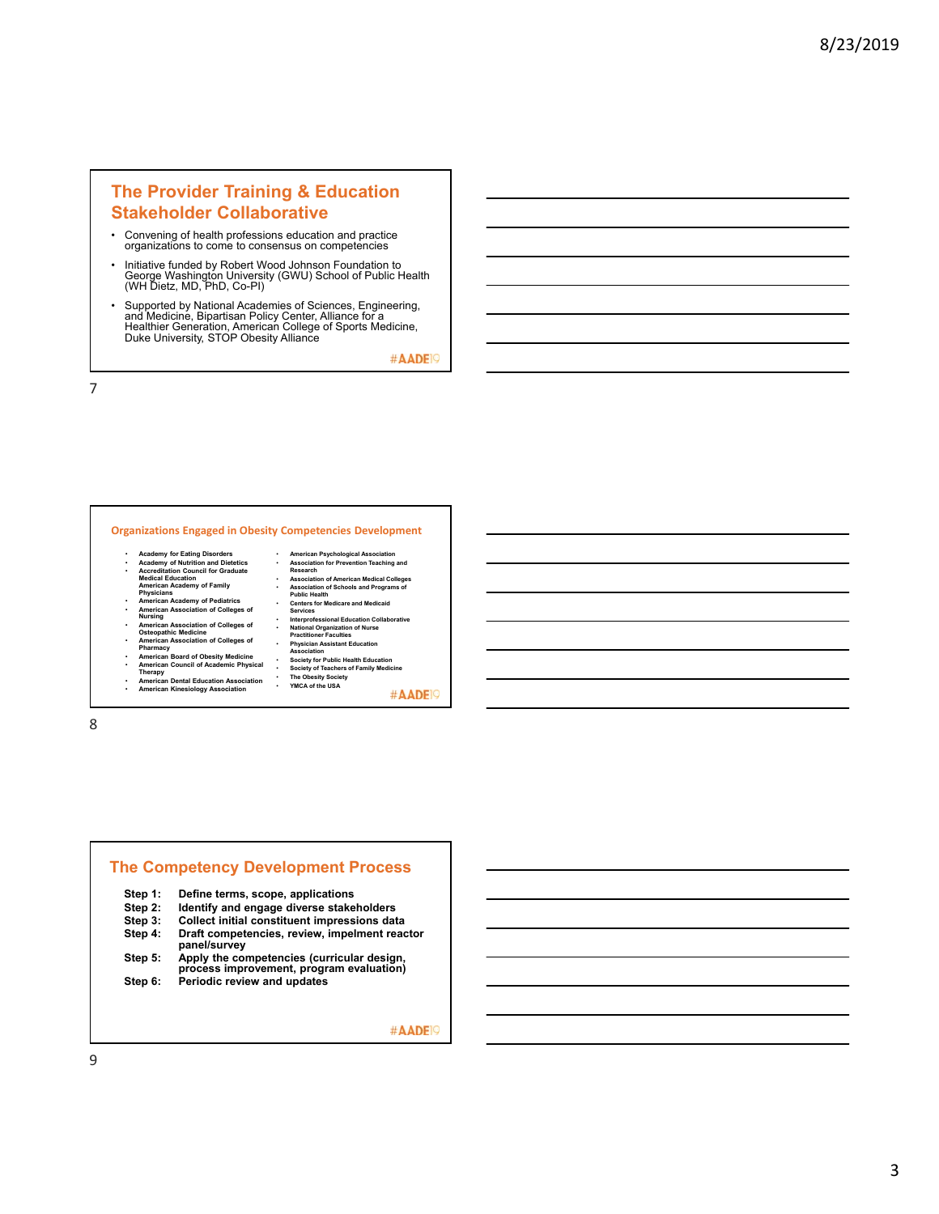### **The Provider Training & Education Stakeholder Collaborative**

- Convening of health professions education and practice organizations to come to consensus on competencies
- Initiative funded by Robert Wood Johnson Foundation to George Washington University (GWU) School of Public Health (WH Dietz, MD, PhD, Co-PI)
- Supported by National Academies of Sciences, Engineering, and Medicine, Bipartisan Policy Center, Alliance for a Healthier Generation, American College of Sports Medicine, Duke University, STOP Obesity Alliance

#AADE<sup>19</sup>

7

#### **Organizations Engaged in Obesity Competencies Development**

- **Academy for Eating Disorders Academy of Nutrition and Dietetics Accreditation Council for Graduate Medical Education American Academy of Family Physicians**
- 
- **American Academy of Pediatrics American Association of Colleges of Nursing**
- **American Association of Colleges of Osteopathic Medicine**
- 
- **American Association of Colleges of Pharmacy American Board of Obesity Medicine**
- 
- **American Council of Academic Physical Therapy American Dental Education Association**
- **American Kinesiology Association**

**Research** • **Association of American Medical Colleges** • **Association of Schools and Programs of Public Health** • **Centers for Medicare and Medicaid Services** • **Interprofessional Education Collaborative** • **National Organization of Nurse Practitioner Faculties** • **Physician Assistant Education Association** • **Society for Public Health Education** • **Society of Teachers of Family Medicine** • **The Obesity Society** • **YMCA of the USA** #AADE<sup>19</sup>

• **American Psychological Association** • **Association for Prevention Teaching and** 

8

### **The Competency Development Process Step 1: Define terms, scope, applications Identify and engage diverse stakeholders Step 3: Collect initial constituent impressions data Draft competencies, review, impelment reactor panel/survey Step 5: Apply the competencies (curricular design, process improvement, program evaluation) Step 6: Periodic review and updates**

#AADE<sup>19</sup>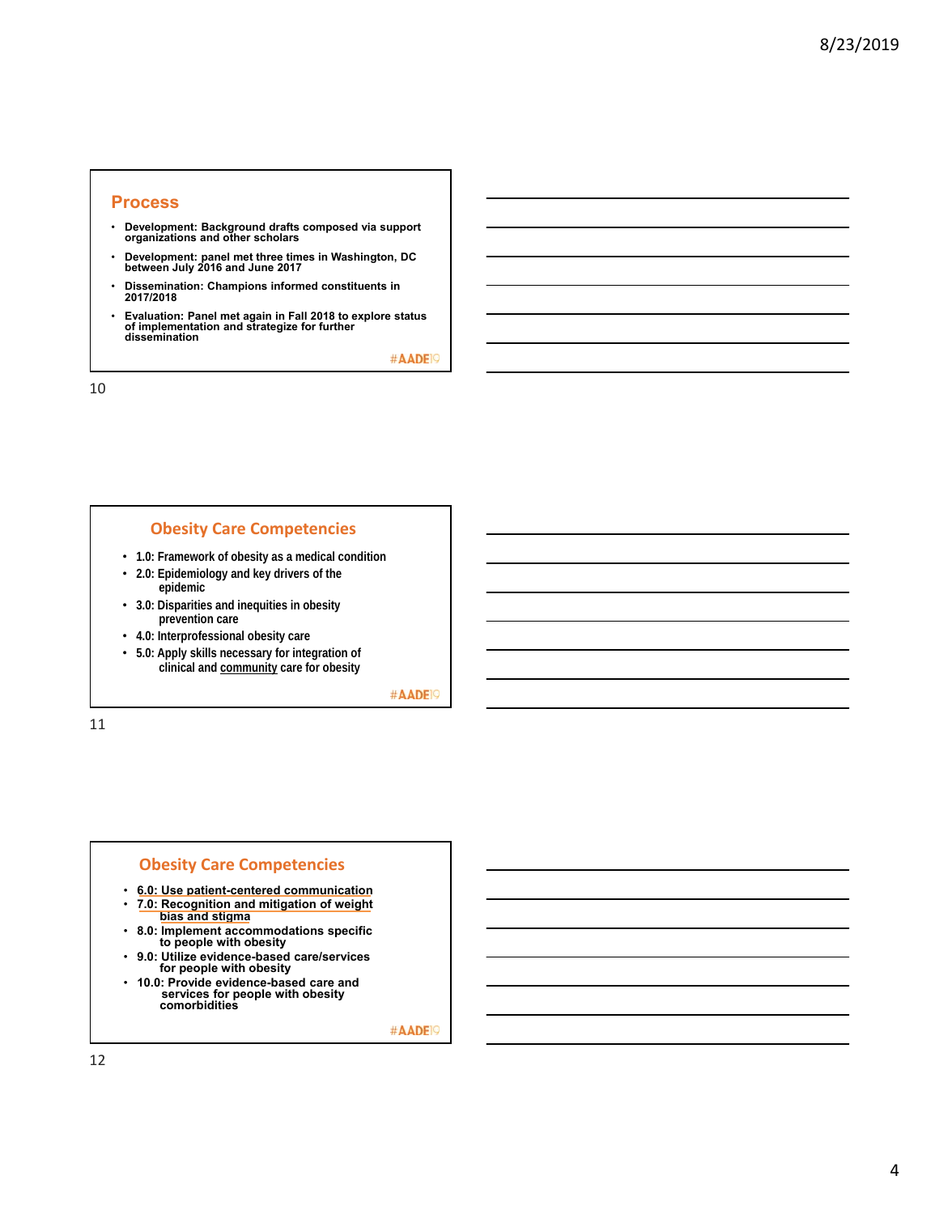#### **Process**

- **Development: Background drafts composed via support organizations and other scholars**
- **Development: panel met three times in Washington, DC between July 2016 and June 2017**
- **Dissemination: Champions informed constituents in 2017/2018**
- **Evaluation: Panel met again in Fall 2018 to explore status of implementation and strategize for further dissemination**

#AADE<sup>19</sup>

10

#### **Obesity Care Competencies**

- **1.0: Framework of obesity as a medical condition**
- **2.0: Epidemiology and key drivers of the epidemic**
- **3.0: Disparities and inequities in obesity prevention care**
- **4.0: Interprofessional obesity care**
- **5.0: Apply skills necessary for integration of clinical and community care for obesity**

#AADE<sup>19</sup>

11

#### **Obesity Care Competencies**

- **6.0: Use patient-centered communication** • **7.0: Recognition and mitigation of weight**
- **bias and stigma**
- **8.0: Implement accommodations specific to people with obesity**
- **9.0: Utilize evidence-based care/services for people with obesity**
- **10.0: Provide evidence-based care and services for people with obesity comorbidities**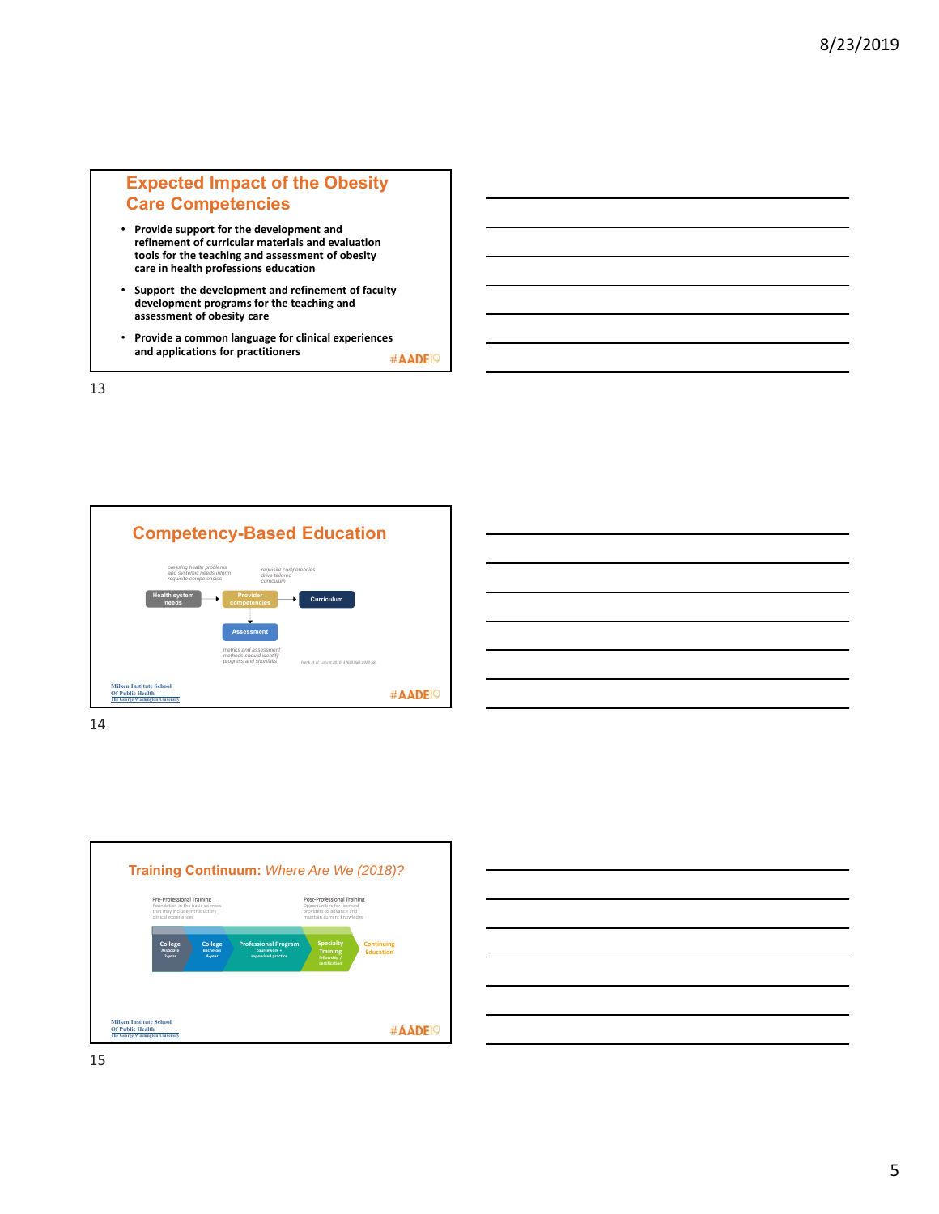### **Expected Impact of the Obesity Care Competencies**

- **Provide support for the development and refinement of curricular materials and evaluation tools for the teaching and assessment of obesity care in health professions education**
- **Support the development and refinement of faculty development programs for the teaching and assessment of obesity care**
- **Provide a common language for clinical experiences and applications for practitioners**  #AADE<sup>19</sup>

13



| _____                                                                                                                                                                                                                                | ______                    |
|--------------------------------------------------------------------------------------------------------------------------------------------------------------------------------------------------------------------------------------|---------------------------|
|                                                                                                                                                                                                                                      | <b>Service Contractor</b> |
|                                                                                                                                                                                                                                      |                           |
| <u>and the second control of the second control of the second control of the second control of the second control of the second control of the second control of the second control of the second control of the second control </u> | _______                   |
|                                                                                                                                                                                                                                      |                           |
|                                                                                                                                                                                                                                      |                           |



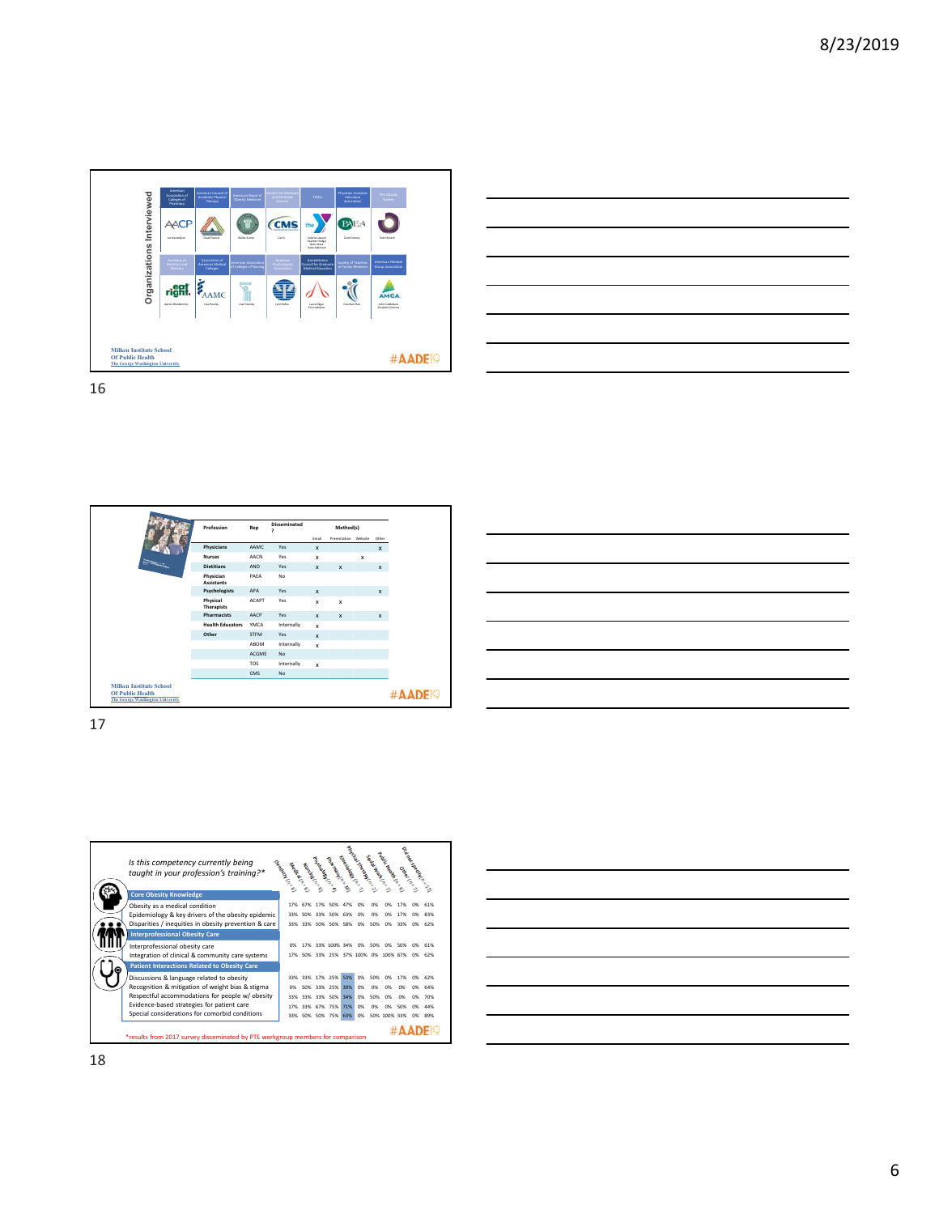



| Profession                                                                                    | Rep          | <b>Disseminated</b><br>, |              | Method(s)            |             |              |
|-----------------------------------------------------------------------------------------------|--------------|--------------------------|--------------|----------------------|-------------|--------------|
|                                                                                               |              |                          | Email        | Presentation Website |             | Other        |
| Physicians                                                                                    | AAMC         | Yes                      | x            |                      |             | $\mathsf{x}$ |
| <b>Nurses</b>                                                                                 | AACN         | Yes                      | x            |                      | $\mathbf x$ |              |
| $\overline{\phantom{a}}$<br><b>Dietitians</b>                                                 | <b>AND</b>   | Yes                      | x            | $\mathbf{x}$         |             | x            |
| Physician<br><b>Assistants</b>                                                                | PAEA         | No                       |              |                      |             |              |
| Psychologists                                                                                 | <b>APA</b>   | Yes                      | $\mathbf{x}$ |                      |             | $\mathbf{x}$ |
| Physical<br><b>Therapists</b>                                                                 | <b>ACAPT</b> | Yes                      | x            | x                    |             |              |
| Pharmacists                                                                                   | AACP         | Yes                      | x            | $\mathbf{x}$         |             | x            |
| <b>Health Educators</b>                                                                       | YMCA         | Internally               | x            |                      |             |              |
| Other                                                                                         | <b>STFM</b>  | Yes                      | x            |                      |             |              |
|                                                                                               | ABOM         | Internally               | $\mathbf{x}$ |                      |             |              |
|                                                                                               | <b>ACGME</b> | <b>No</b>                |              |                      |             |              |
|                                                                                               | TOS          | Internally               | x            |                      |             |              |
|                                                                                               | CMS          | <b>No</b>                |              |                      |             |              |
| <b>Milken Institute School</b><br><b>Of Public Health</b><br>The George Washington University |              |                          |              |                      |             |              |

|                                                                                                                          |  | ___  |
|--------------------------------------------------------------------------------------------------------------------------|--|------|
| <u> Alexandro de la contrada de la contrada de la contrada de la contrada de la contrada de la contrada de la con</u>    |  |      |
|                                                                                                                          |  | ____ |
|                                                                                                                          |  |      |
| <u>successive and the second control of the second control of the second control of the second control of the second</u> |  |      |
|                                                                                                                          |  |      |
|                                                                                                                          |  |      |



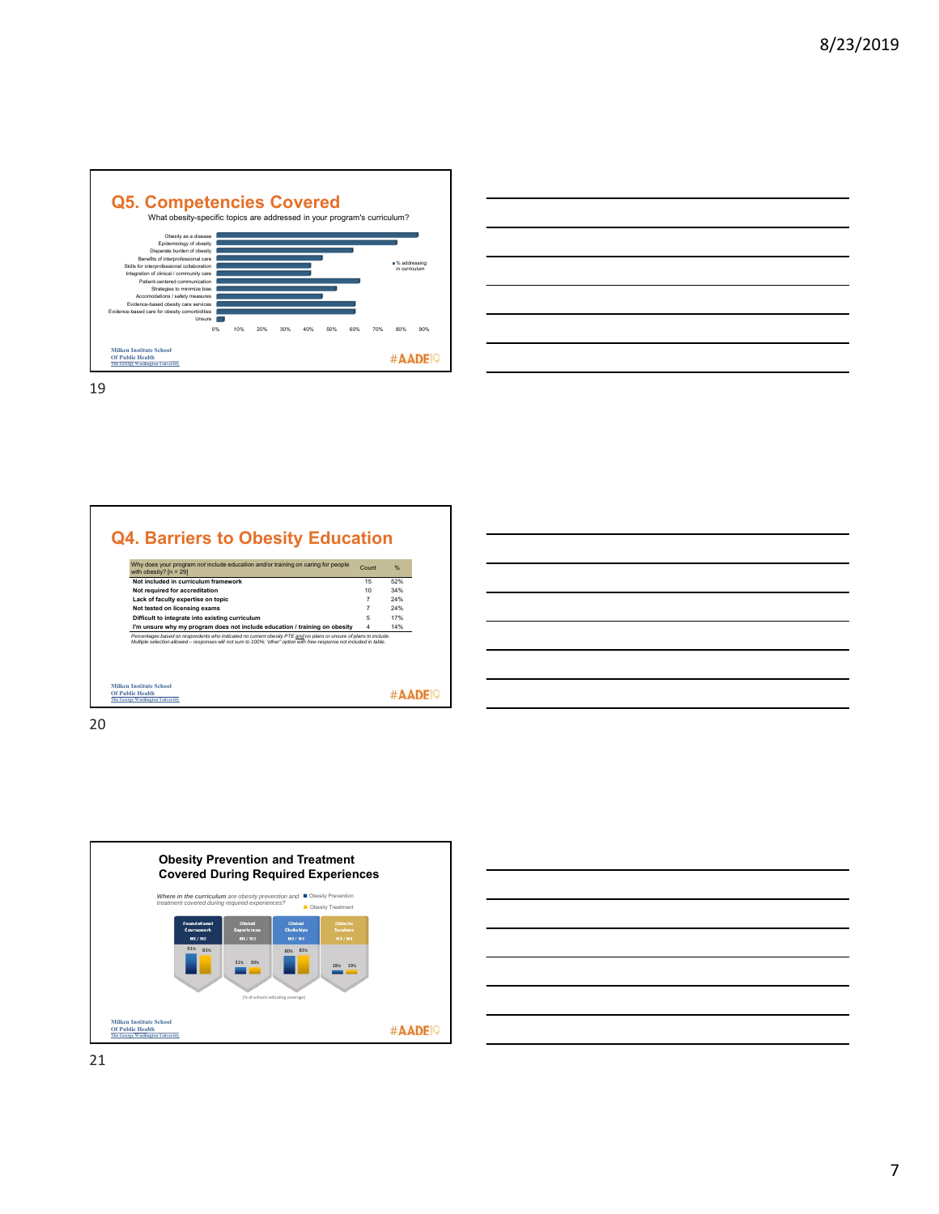



| Why does your program not include education and/or training on caring for people<br>with obesity? $[n = 29]$                                                                                                                               | Count | %   |
|--------------------------------------------------------------------------------------------------------------------------------------------------------------------------------------------------------------------------------------------|-------|-----|
| Not included in curriculum framework                                                                                                                                                                                                       | 15    | 52% |
| Not required for accreditation                                                                                                                                                                                                             | 10    | 34% |
| Lack of faculty expertise on topic                                                                                                                                                                                                         |       | 24% |
| Not tested on licensing exams                                                                                                                                                                                                              |       | 24% |
| Difficult to integrate into existing curriculum                                                                                                                                                                                            | 5     | 17% |
| I'm unsure why my program does not include education / training on obesity                                                                                                                                                                 |       | 14% |
| Percentages based on respondents who indicated no current obesity PTE and no plans or unsure of plans to include.<br>Multiple selection allowed - responses will not sum to 100%; 'other" option with free-response not included in table. |       |     |





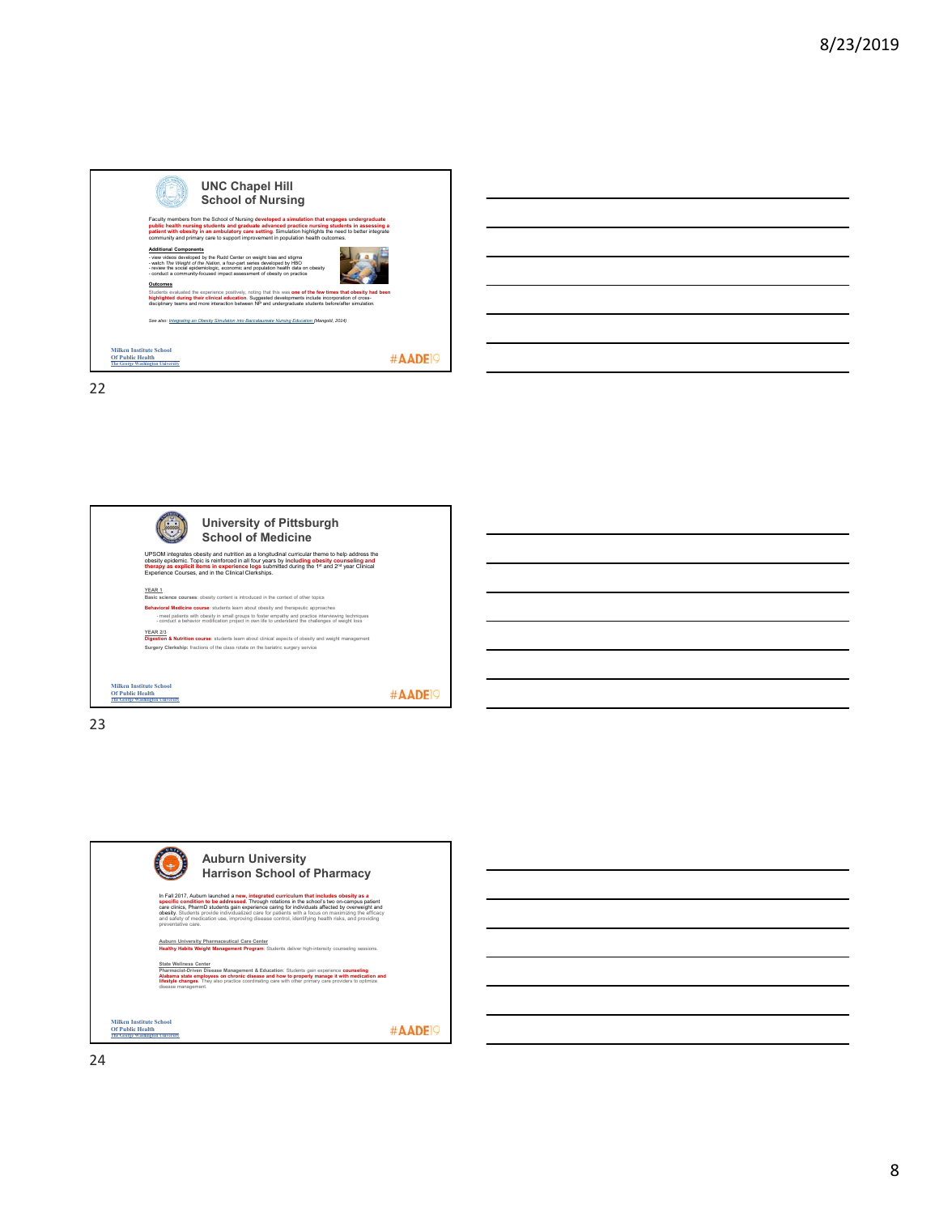

| <u> Album and the contract of the contract of the contract of the contract of the contract of the contract of the con</u> |                                                                                                                                                                      |  |                                                                                                                                                                                                                                      |
|---------------------------------------------------------------------------------------------------------------------------|----------------------------------------------------------------------------------------------------------------------------------------------------------------------|--|--------------------------------------------------------------------------------------------------------------------------------------------------------------------------------------------------------------------------------------|
| and the control of the control of the control of the control of the control of the control of the control of the          |                                                                                                                                                                      |  |                                                                                                                                                                                                                                      |
| <u> 1989 - Johann Stoff, deutscher Stoffen und der Stoffen und der Stoffen und der Stoffen und der Stoffen und de</u>     |                                                                                                                                                                      |  |                                                                                                                                                                                                                                      |
| and the control of the control of the control of the control of the control of the control of the control of the          |                                                                                                                                                                      |  | <u> Liberature de la construcción de la construcción de la construcción de la construcción de la construcción de la construcción de la construcción de la construcción de la construcción de la construcción de la construcción </u> |
|                                                                                                                           | ,我们也不会有一个人的事情。""我们的人们,我们也不会有一个人的人,我们也不会有一个人的人,我们也不会有一个人的人,我们也不会有一个人的人,我们也不会有一个人的<br>第一百一十一章 我们的人,我们的人们的人们,我们的人们的人们,我们的人们的人们,我们的人们的人们,我们的人们的人们,我们的人们的人们,我们的人们的人们,我们的人 |  |                                                                                                                                                                                                                                      |
|                                                                                                                           |                                                                                                                                                                      |  |                                                                                                                                                                                                                                      |

 $\overline{a}$ 

22



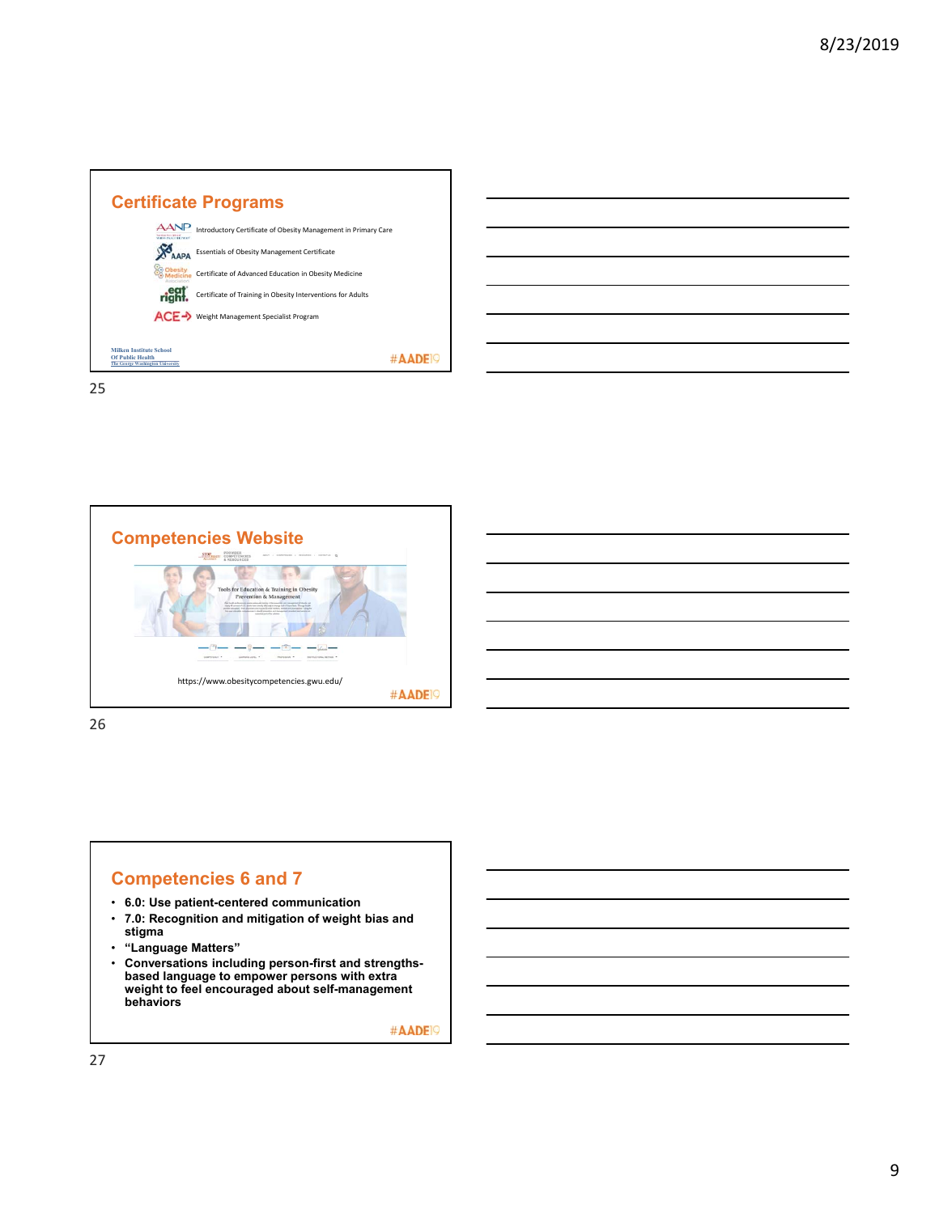



26

### **Competencies 6 and 7**

- **6.0: Use patient-centered communication**
- **7.0: Recognition and mitigation of weight bias and stigma**
- **"Language Matters"**
- **Conversations including person-first and strengthsbased language to empower persons with extra weight to feel encouraged about self-management behaviors**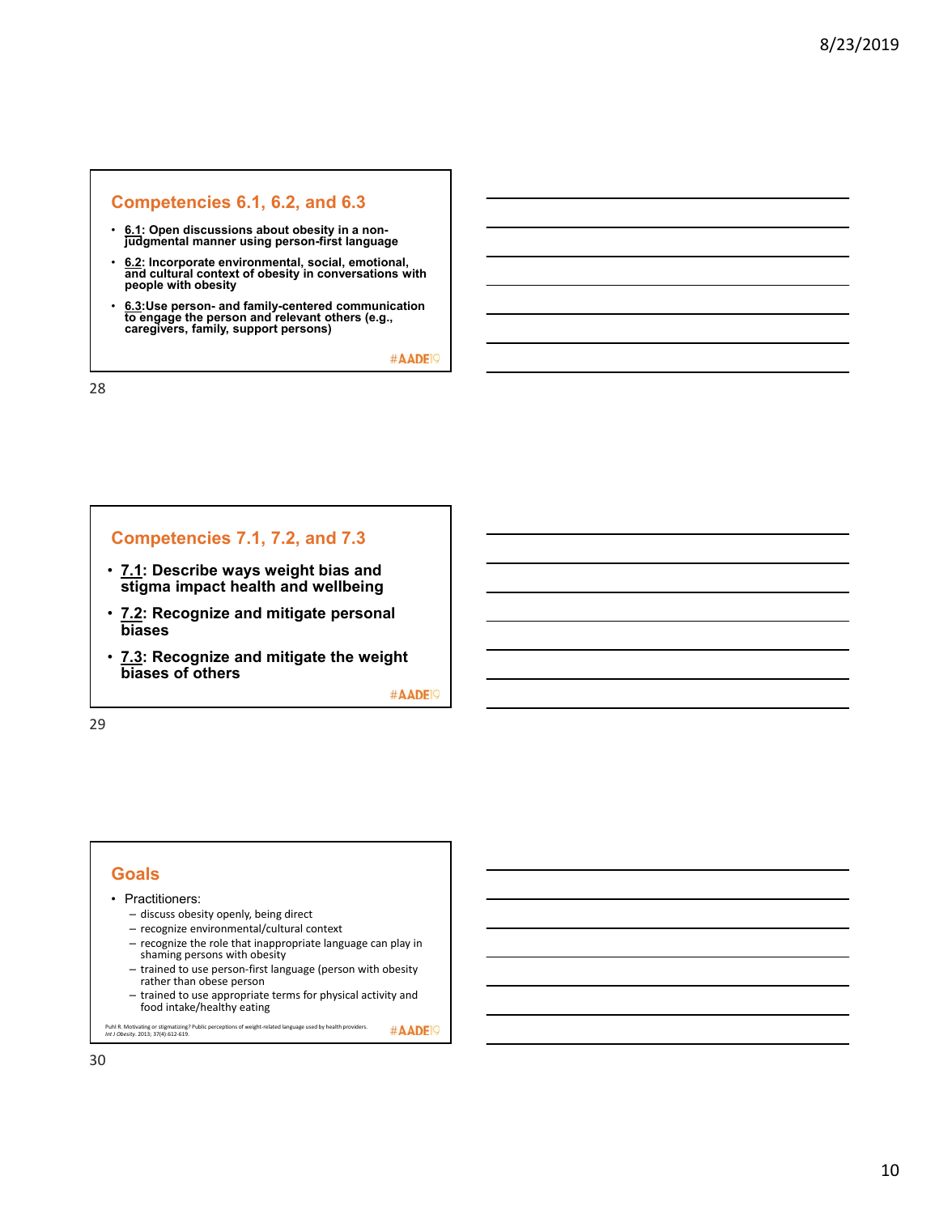### **Competencies 6.1, 6.2, and 6.3**

- **6.1: Open discussions about obesity in a nonjudgmental manner using person-first language**
- **6.2: Incorporate environmental, social, emotional, and cultural context of obesity in conversations with people with obesity**
- **6.3:Use person- and family-centered communication to engage the person and relevant others (e.g., caregivers, family, support persons)**

#AADE<sup>19</sup>

28

### **Competencies 7.1, 7.2, and 7.3**

- **7.1: Describe ways weight bias and stigma impact health and wellbeing**
- **7.2: Recognize and mitigate personal biases**
- **7.3: Recognize and mitigate the weight biases of others**

#AADE<sup>19</sup>

29

#### **Goals**

#### • Practitioners:

- discuss obesity openly, being direct
- recognize environmental/cultural context
- recognize the role that inappropriate language can play in shaming persons with obesity
- trained to use person‐first language (person with obesity rather than obese person
- trained to use appropriate terms for physical activity and food intake/healthy eating

#AADE<sup>19</sup> Puhl R. Motivating or stigmatizing? Public perceptions of weight‐related language used by health providers. *Int J Obesity*. 2013; 37(4):612‐619.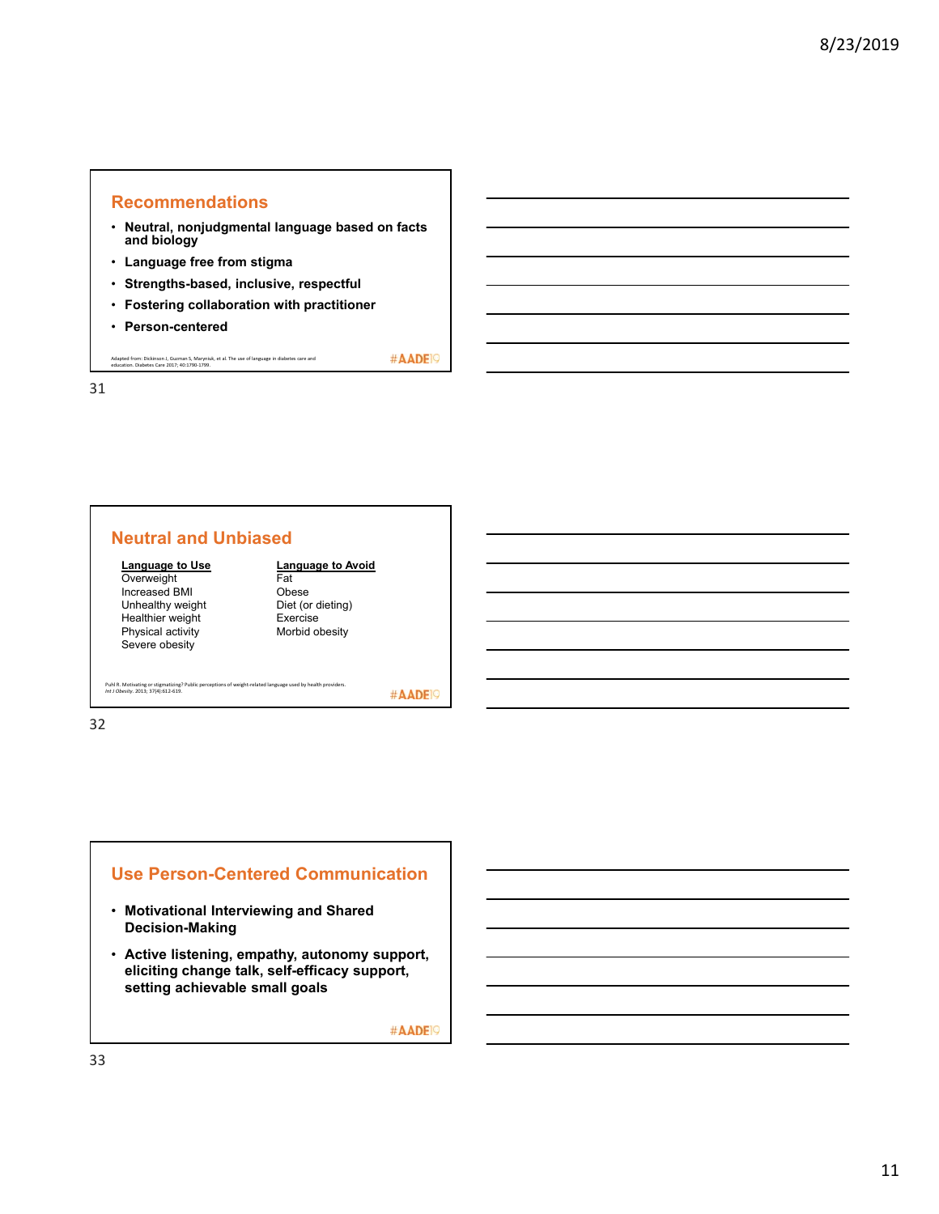#### **Recommendations**

- **Neutral, nonjudgmental language based on facts and biology**
- **Language free from stigma**
- **Strengths-based, inclusive, respectful**
- **Fostering collaboration with practitioner**
- **Person-centered**

Adapted from: Dickinson J, Guzman S, Maryniuk, et al. The use of language in diabetes care and education. Diabetes Care 2017; 40:1790‐1799.

31

### **Neutral and Unbiased**

#### **Language to Use**

**Overweight** Increased BMI Unhealthy weight Healthier weight Physical activity Severe obesity

#### **Language to Avoid Fat** Obese

Diet (or dieting) Exercise Morbid obesity

Puhl R. Motivating or stigmatizing? Public perceptions of weight‐related language used by health providers. *Int J Obesity*. 2013; 37(4):612‐619.

#AADE<sup>19</sup>

#AADE<sup>19</sup>

32

### **Use Person-Centered Communication**

- **Motivational Interviewing and Shared Decision-Making**
- **Active listening, empathy, autonomy support, eliciting change talk, self-efficacy support, setting achievable small goals**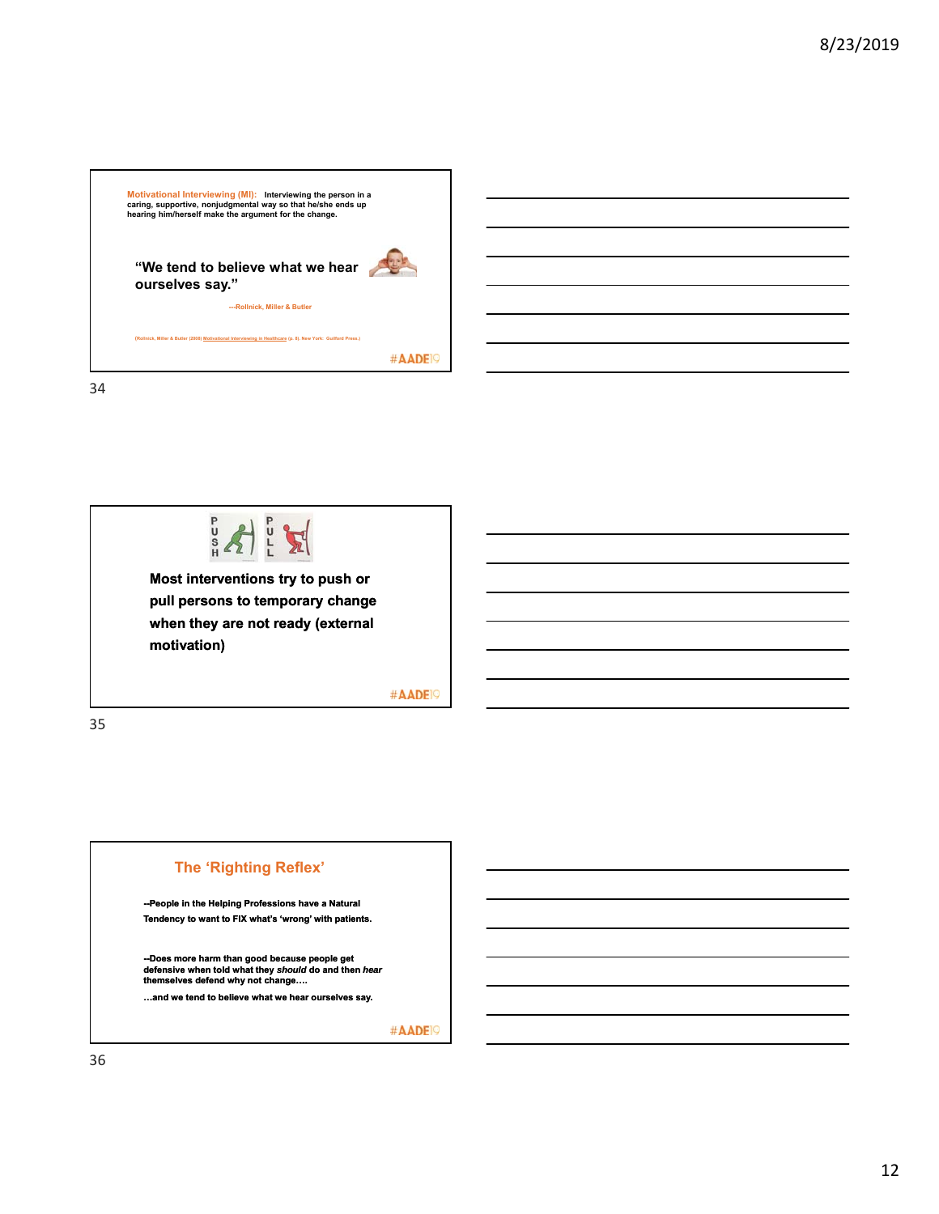



**Most interventions try to push or pull persons to temporary change when they are not ready (external motivation)**

#AADE<sup>19</sup>

35

#### **The 'Righting Reflex'**

**--People in the Helping Professions have a Natural Tendency to want to FIX what's 'wrong' with patients.**

**--Does more harm than good because people get defensive when told what they** *should* **do and then** *hear* **themselves defend why not change….**

**…and we tend to believe what we hear ourselves say.**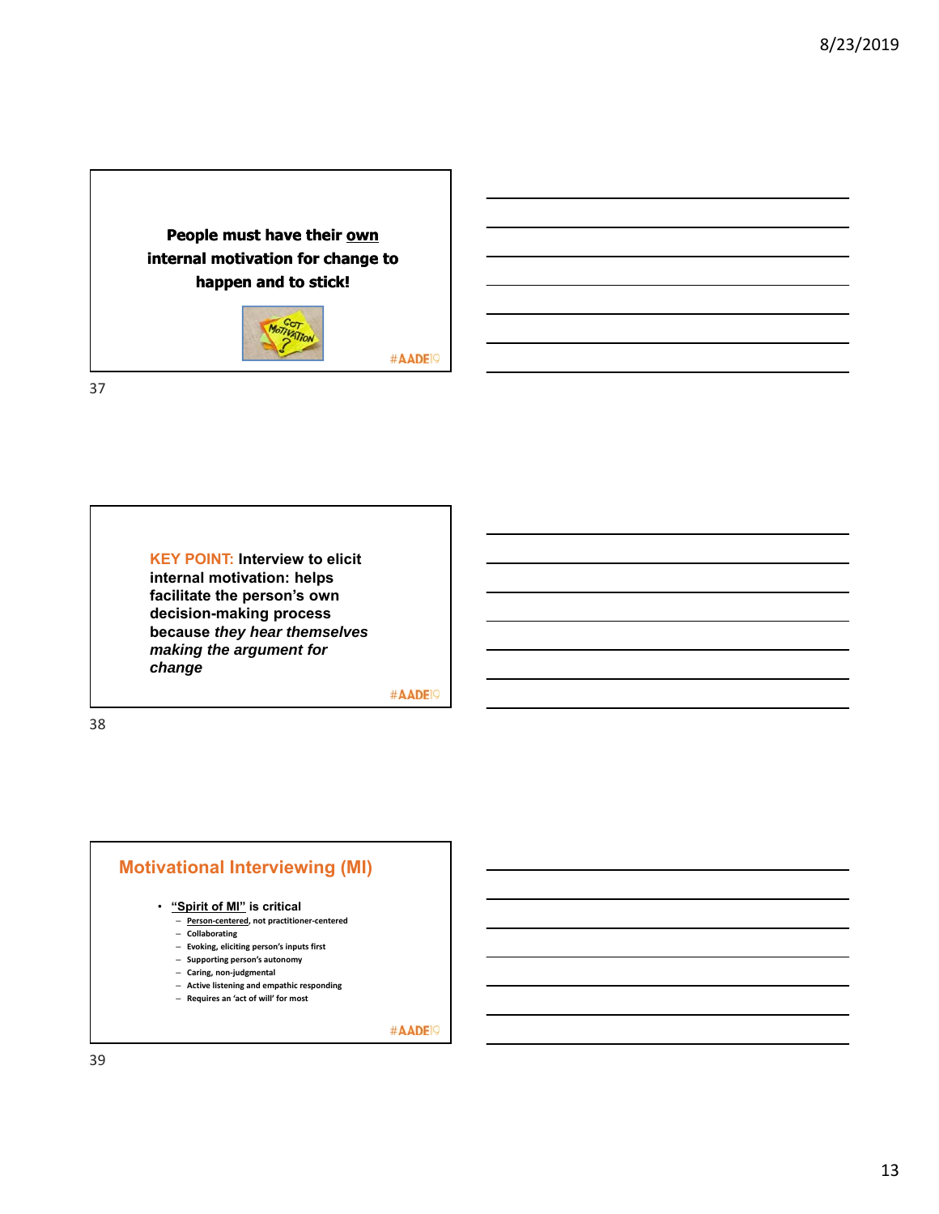



**KEY POINT: Interview to elicit internal motivation: helps facilitate the person's own decision-making process because** *they hear themselves making the argument for change*

#AADE<sup>19</sup>

#AADE<sup>19</sup>

38

### **Motivational Interviewing (MI)**

#### • **"Spirit of MI" is critical**

- **Person‐centered, not practitioner‐centered**
- **Collaborating**
- **Evoking, eliciting person's inputs first**
- **Supporting person's autonomy**
- **Caring, non‐judgmental**
- **Active listening and empathic responding**
- **Requires an 'act of will' for most**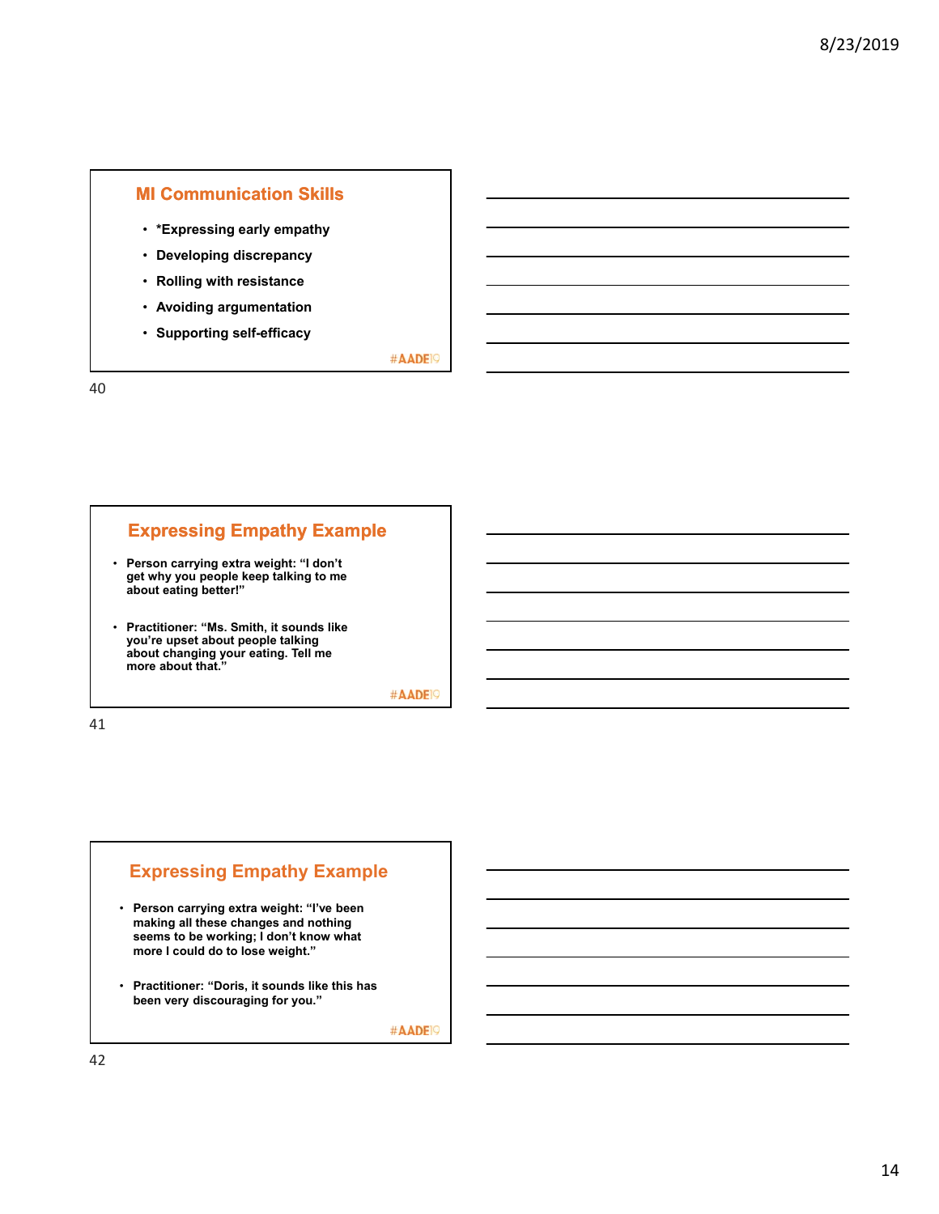### **MI Communication Skills**

- **\*Expressing early empathy**
- **Developing discrepancy**
- **Rolling with resistance**
- **Avoiding argumentation**
- **Supporting self-efficacy**

#AADE<sup>19</sup>

40

### **Expressing Empathy Example**

- **Person carrying extra weight: "I don't get why you people keep talking to me about eating better!"**
- **Practitioner: "Ms. Smith, it sounds like you're upset about people talking about changing your eating. Tell me more about that."**

#AADE<sup>19</sup>

41

### **Expressing Empathy Example**

- **Person carrying extra weight: "I've been making all these changes and nothing seems to be working; I don't know what more I could do to lose weight."**
- **Practitioner: "Doris, it sounds like this has been very discouraging for you."**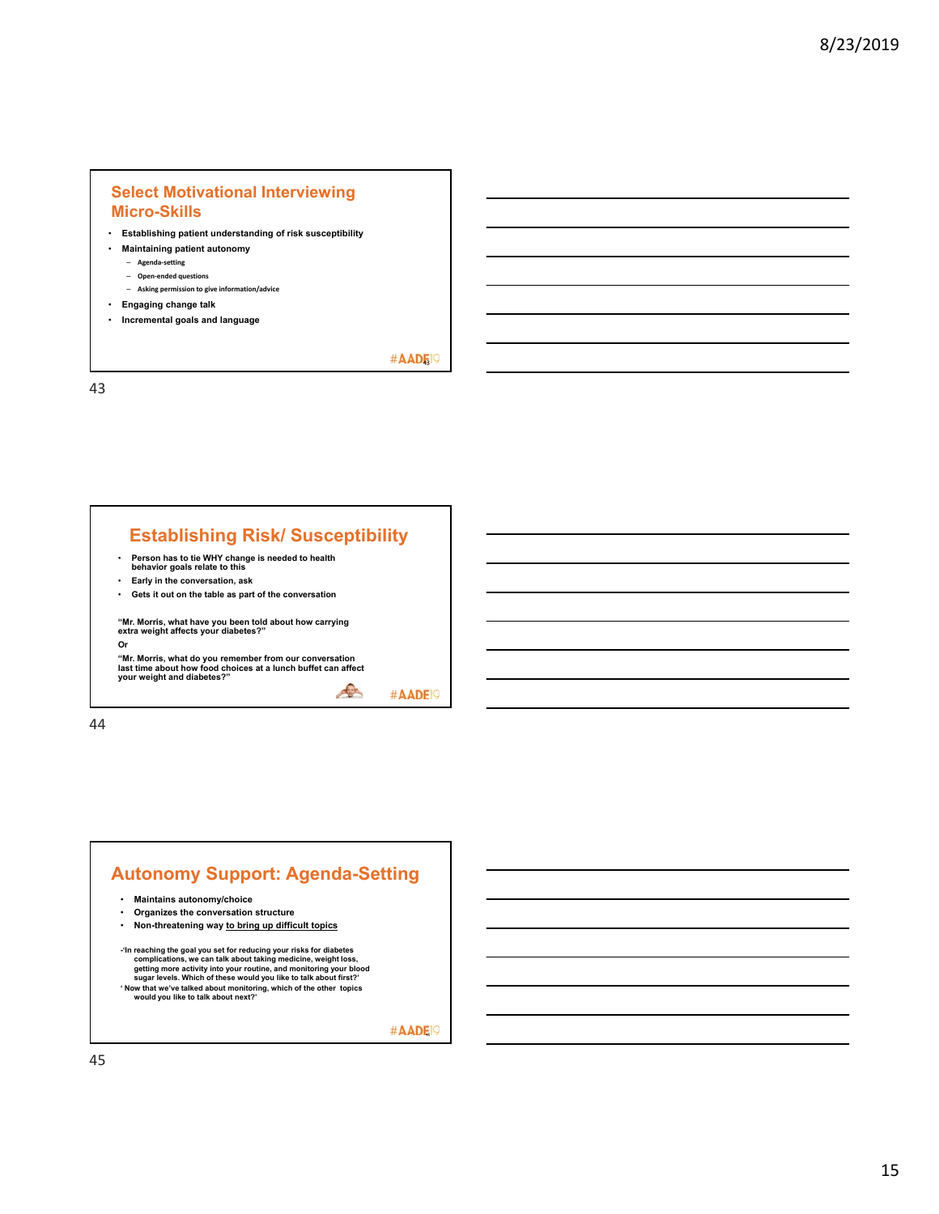### **Select Motivational Interviewing Micro-Skills**

- **Establishing patient understanding of risk susceptibility**
- **Maintaining patient autonomy**
	- **Agenda‐setting**
	- **Open‐ended questions**
	- **Asking permission to give information/advice**
- **Engaging change talk**
- **Incremental goals and language**

#AADE<sup>19</sup>

43

### **Establishing Risk/ Susceptibility**

- **Person has to tie WHY change is needed to health behavior goals relate to this**
- **Early in the conversation, ask**
- **Gets it out on the table as part of the conversation**

**"Mr. Morris, what have you been told about how carrying extra weight affects your diabetes?"**

**Or**

**"Mr. Morris, what do you remember from our conversation last time about how food choices at a lunch buffet can affect your weight and diabetes?"**

C #AADE<sup>19</sup>

44

### **Autonomy Support: Agenda-Setting** • **Maintains autonomy/choice**

- 
- **Organizes the conversation structure**
- **Non-threatening way to bring up difficult topics**
- -'In reaching the goal you set for reducing your risks for diabetes<br>complications, we can talk about taking medicine, weight loss,<br>getting more activity into your routine, and monitoring your blood<br>sugar levels. Which of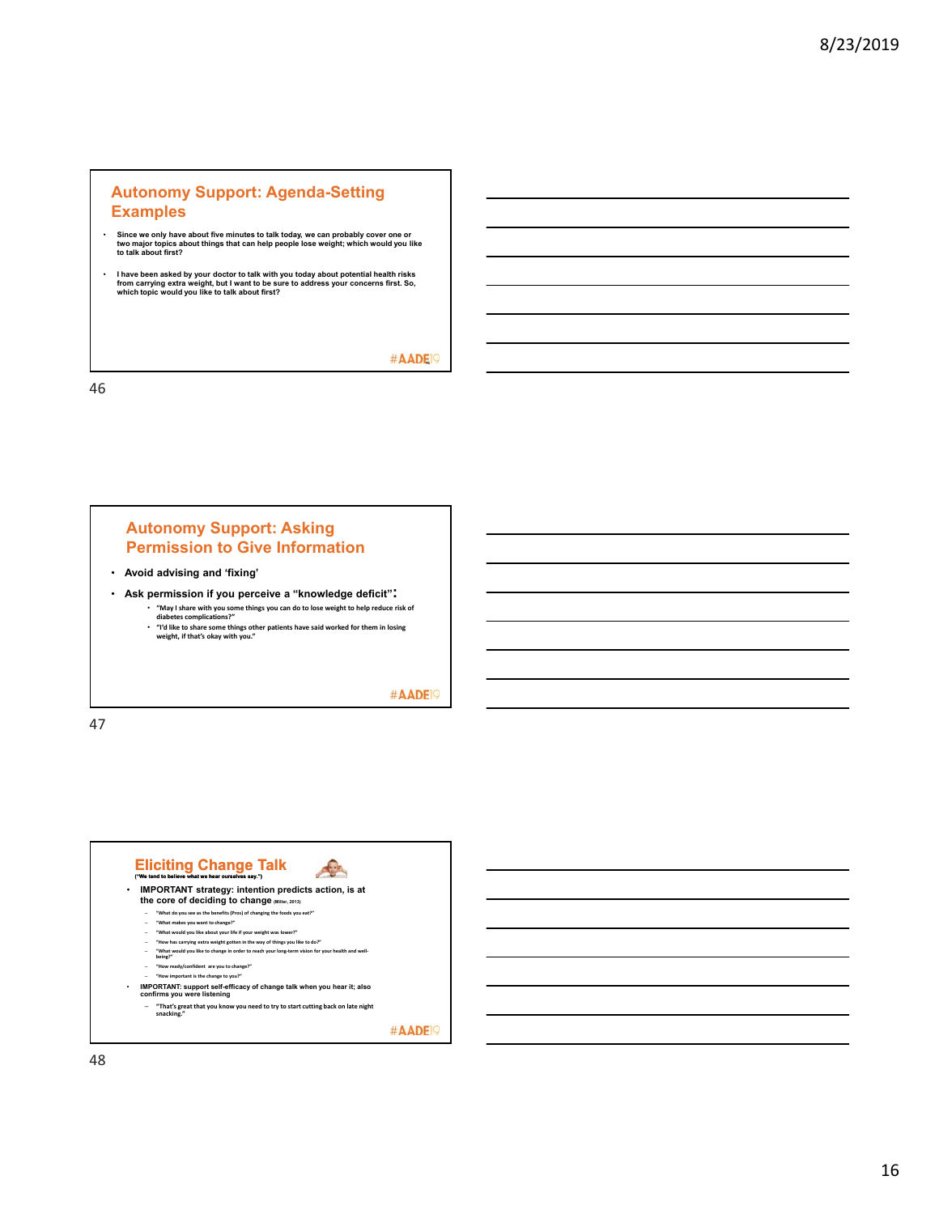### **Autonomy Support: Agenda-Setting Examples**

- **Since we only have about five minutes to talk today, we can probably cover one or two major topics about things that can help people lose weight; which would you like to talk about first?**
- l have been asked by your doctor to talk with you today about potential health risks<br>from carrying extra weight, but I want to be sure to address your concerns first. So,<br>which topic would you like to talk about first?

#AADE<sup>O</sup>

46

#### **Autonomy Support: Asking Permission to Give Information**

- **Avoid advising and 'fixing'**
- **Ask permission if you perceive a "knowledge deficit":** • **"May I share with you some things you can do to lose weight to help reduce risk of diabetes complications?"** 
	- **"I'd like to share some things other patients have said worked for them in losing weight, if that's okay with you."**

#### #AADE<sup>19</sup>

47

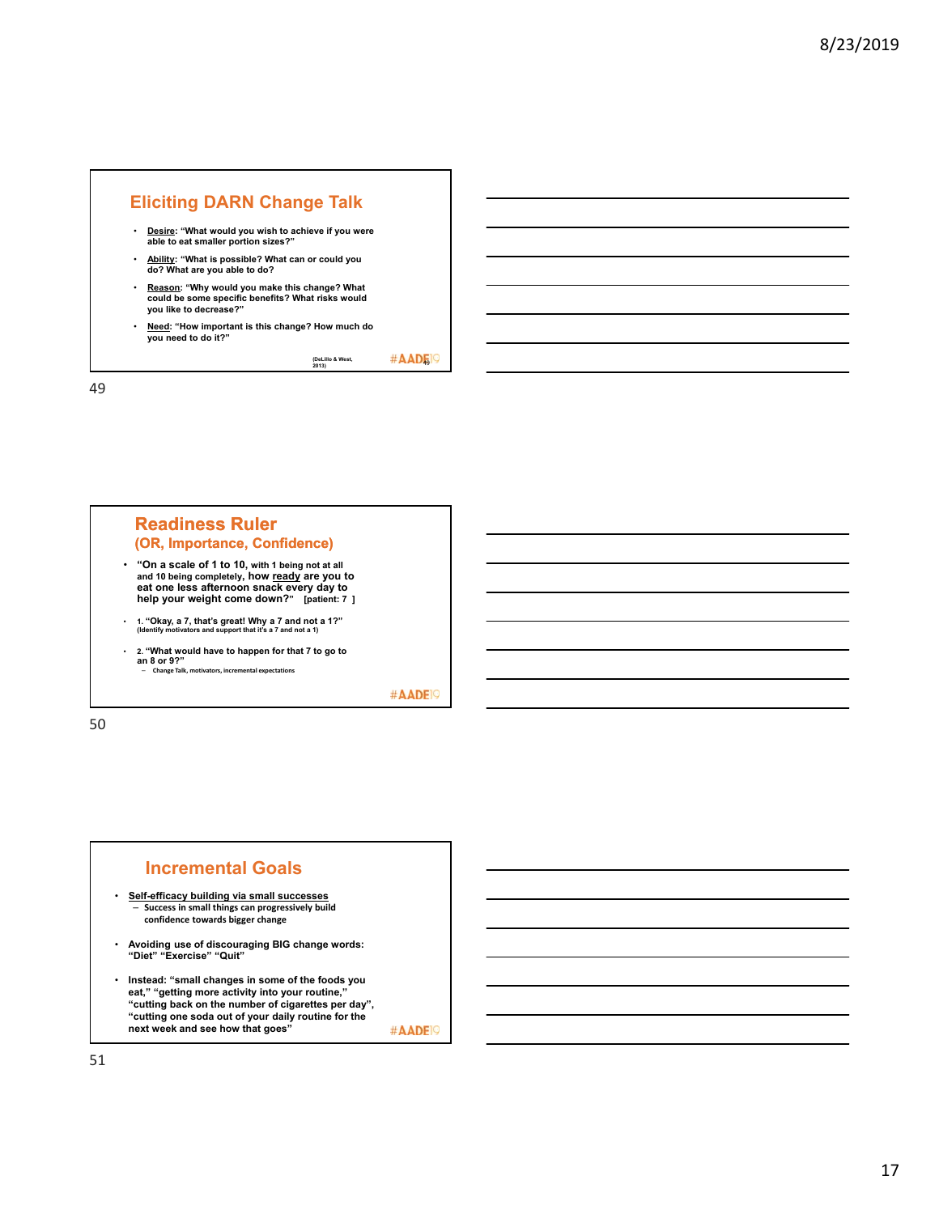

<sup>49</sup> **(DeLillo & West, 2013)**

49

#### **Readiness Ruler (OR, Importance, Confidence)**

- **"On a scale of 1 to 10, with 1 being not at all and 10 being completely, how ready are you to eat one less afternoon snack every day to help your weight come down?" [patient: 7 ]**
- **1. "Okay, a 7, that's great! Why a 7 and not a 1?" (Identify motivators and support that it's a 7 and not a 1)**
- **2. "What would have to happen for that 7 to go to an 8 or 9?"** – **Change Talk, motivators, incremental expectations**

#AADE<sup>19</sup>

50

## **Incremental Goals**

- **Self-efficacy building via small successes Success in small things can progressively build confidence towards bigger change**
- **Avoiding use of discouraging BIG change words: "Diet" "Exercise" "Quit"**
- **Instead: "small changes in some of the foods you eat," "getting more activity into your routine,'' "cutting back on the number of cigarettes per day", "cutting one soda out of your daily routine for the next week and see how that goes"** #AADE<sup>19</sup>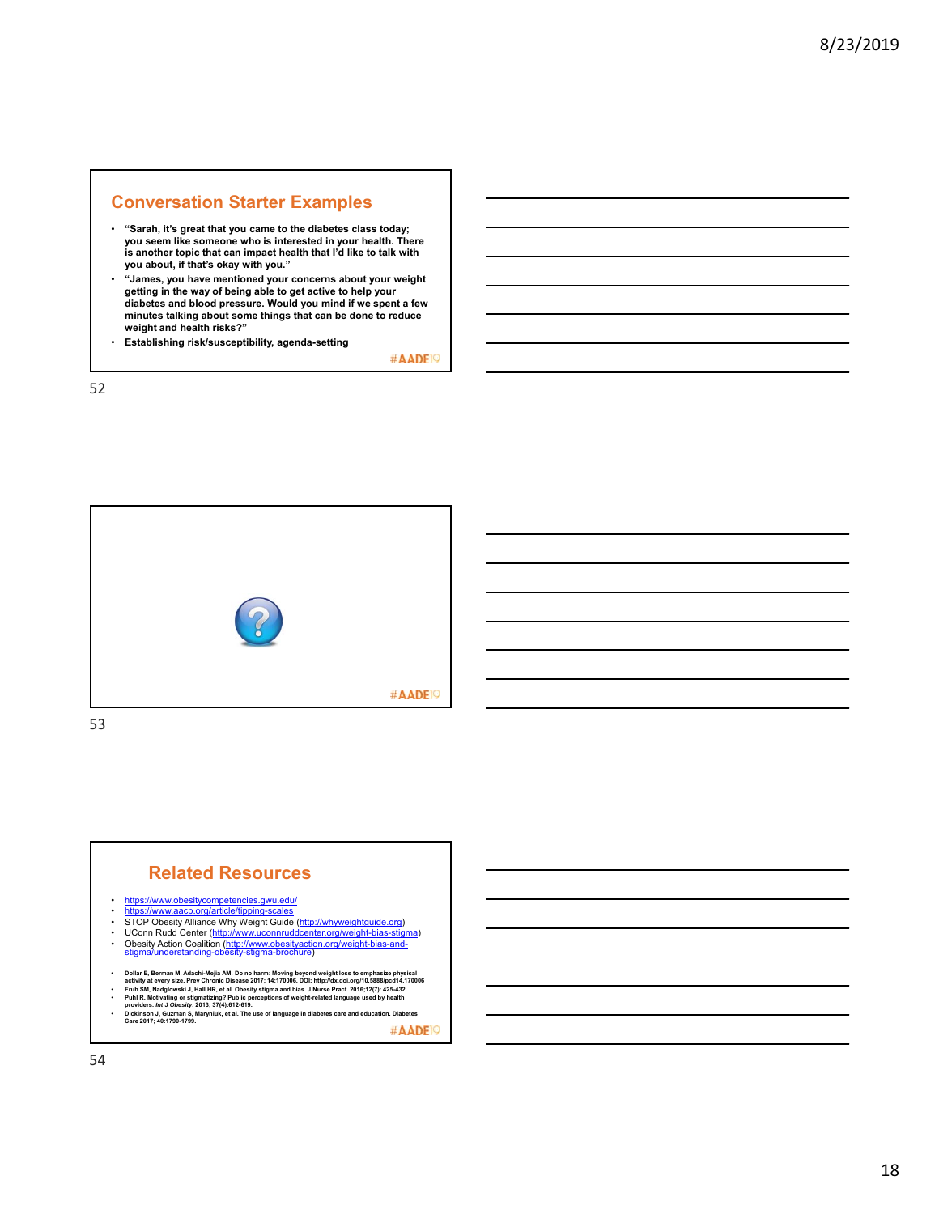#### **Conversation Starter Examples**

- **"Sarah, it's great that you came to the diabetes class today; you seem like someone who is interested in your health. There is another topic that can impact health that I'd like to talk with you about, if that's okay with you."**
- **"James, you have mentioned your concerns about your weight getting in the way of being able to get active to help your diabetes and blood pressure. Would you mind if we spent a few minutes talking about some things that can be done to reduce weight and health risks?"**
- **Establishing risk/susceptibility, agenda-setting**

#AADE<sup>19</sup>

52



# **Related Resources** • https://www.obesitycompetencies.gwu.edu/<br>• https://www.aacp.org/article/tipping-scales • https://www.aacp.org/article/tipping-sc<br>• STOP Obesity Alliance Why Weight G • STOP Obesity Alliance Why Weight Guide (http://whyweightguide.org)<br>• UConn Rudd Center (<u>http://www.uconnruddcenter.org/weight-bias-stigma)</u><br>• Obesity Action Coalition (<u>http://www.obesityaction.org/weight-bias-and-</u><br>st<u></u> Dollar E, Berman M, Adachi-Mejia AM. Do no harm: Moving beyond weight loss to emphasize physical<br>- Fruh SM, Nadglowski J, Hall HR, et al. Obseity stigma and bias. J Nurse Pract. 2016;12(7): 425-432.<br>- Puhl SM, Nadglowski J

• **Dickinson J, Guzman S, Maryniuk, et al. The use of language in diabetes care and education. Diabetes Care 2017; 40:1790-1799.** #AADE<sup>19</sup>